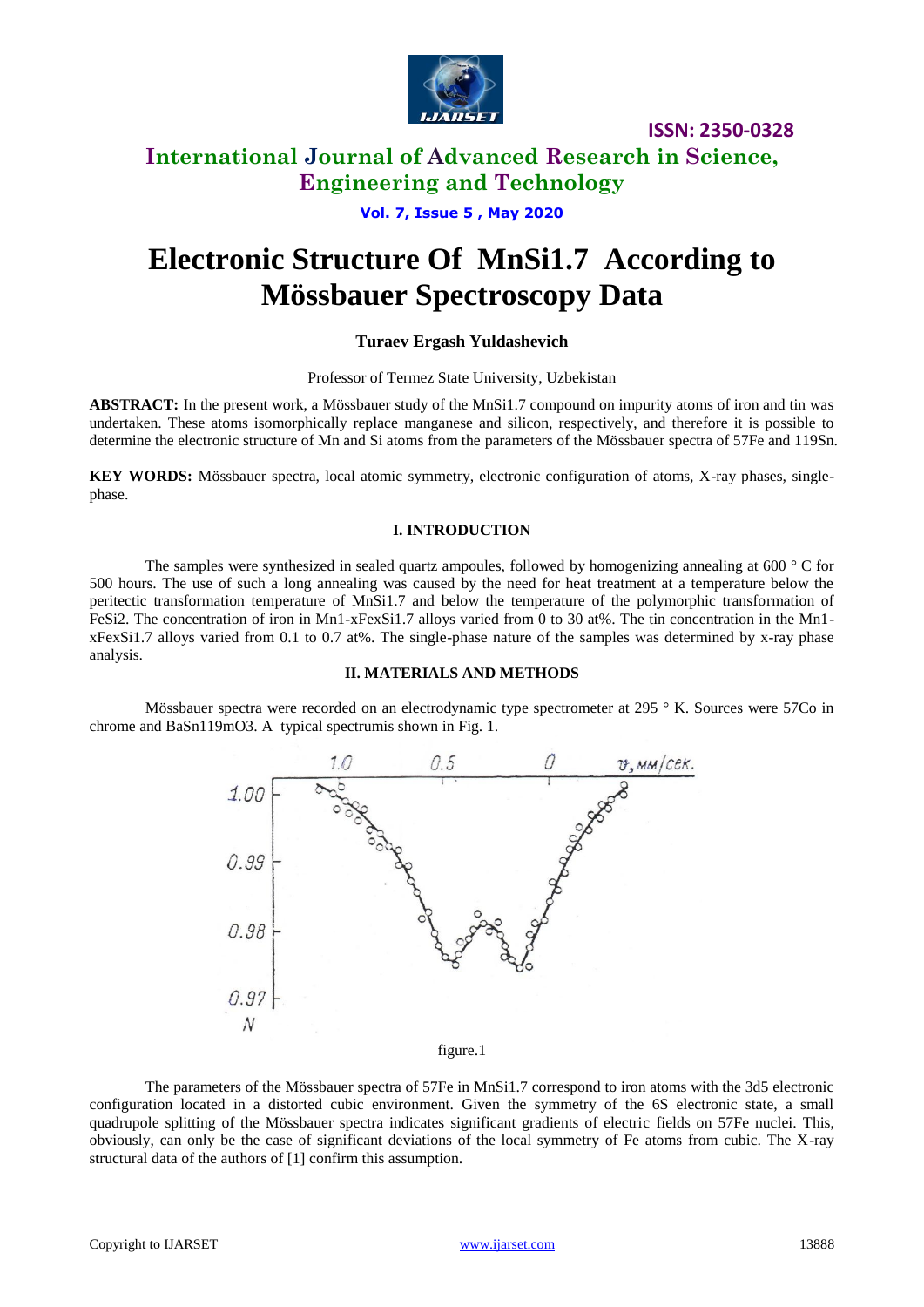

**ISSN: 2350-0328**

# **International Journal of Advanced Research in Science, Engineering and Technology**

### **Vol. 7, Issue 5 , May 2020**

# **Electronic Structure Of MnSi1.7 According to Mössbauer Spectroscopy Data**

### **Turaev Ergash Yuldashevich**

### Professor of Termez State University, Uzbekistan

**ABSTRACT:** In the present work, a Mössbauer study of the MnSi1.7 compound on impurity atoms of iron and tin was undertaken. These atoms isomorphically replace manganese and silicon, respectively, and therefore it is possible to determine the electronic structure of Mn and Si atoms from the parameters of the Mössbauer spectra of 57Fe and 119Sn.

**KEY WORDS:** Mössbauer spectra, local atomic symmetry, electronic configuration of atoms, X-ray phases, singlephase.

### **I. INTRODUCTION**

The samples were synthesized in sealed quartz ampoules, followed by homogenizing annealing at 600 ° C for 500 hours. The use of such a long annealing was caused by the need for heat treatment at a temperature below the peritectic transformation temperature of MnSi1.7 and below the temperature of the polymorphic transformation of FeSi2. The concentration of iron in Mn1-xFexSi1.7 alloys varied from 0 to 30 at%. The tin concentration in the Mn1 xFexSi1.7 alloys varied from 0.1 to 0.7 at%. The single-phase nature of the samples was determined by x-ray phase analysis.

### **II. MATERIALS AND METHODS**

Mössbauer spectra were recorded on an electrodynamic type spectrometer at 295 ° K. Sources were 57Co in chrome and BaSn119mO3. A typical spectrumis shown in Fig. 1.



figure.1

The parameters of the Mössbauer spectra of 57Fe in MnSi1.7 correspond to iron atoms with the 3d5 electronic configuration located in a distorted cubic environment. Given the symmetry of the 6S electronic state, a small quadrupole splitting of the Mössbauer spectra indicates significant gradients of electric fields on 57Fe nuclei. This, obviously, can only be the case of significant deviations of the local symmetry of Fe atoms from cubic. The X-ray structural data of the authors of [1] confirm this assumption.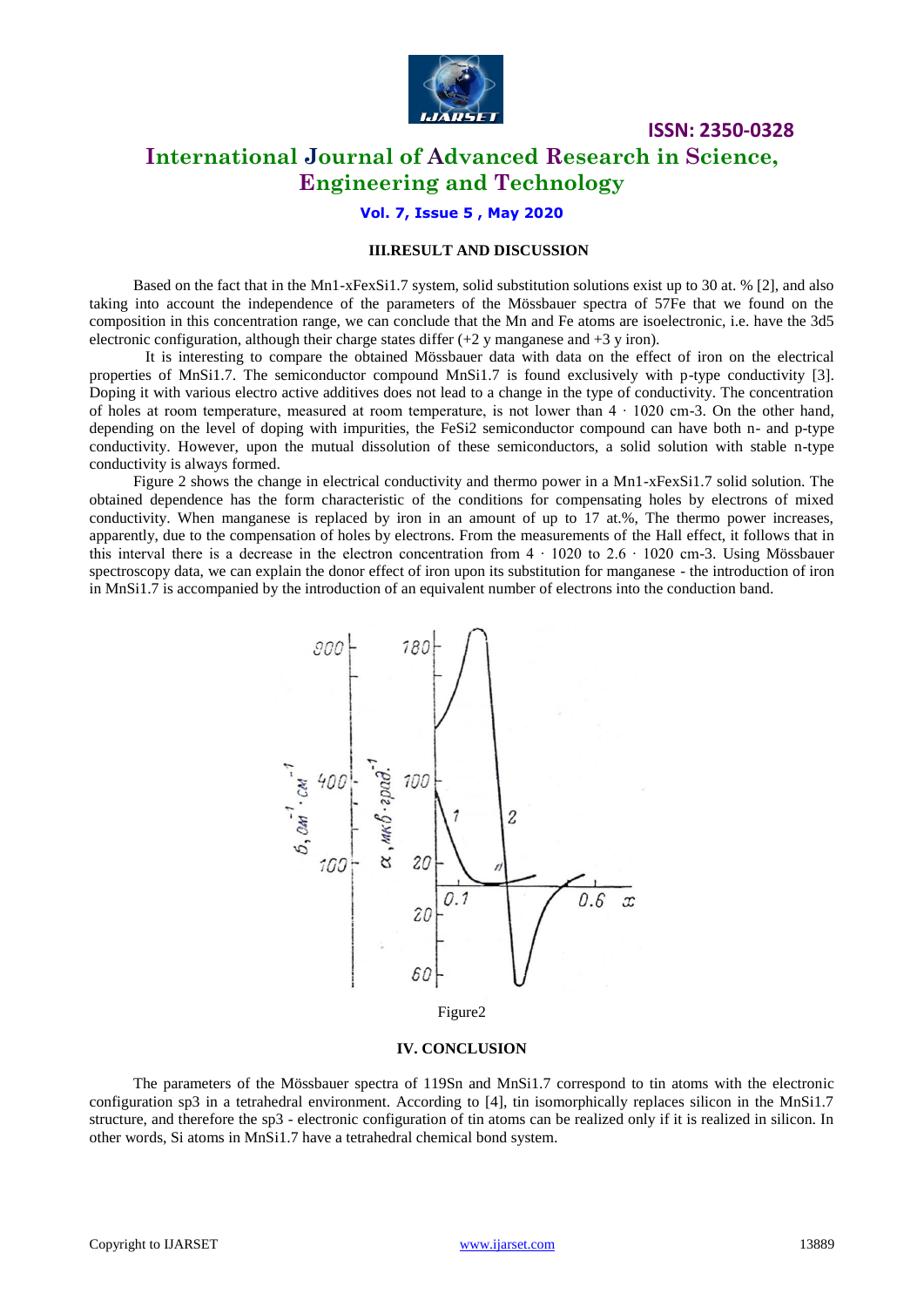

**ISSN: 2350-0328**

### **International Journal of Advanced Research in Science, Engineering and Technology**

### **Vol. 7, Issue 5 , May 2020**

### **III.RESULT AND DISCUSSION**

Based on the fact that in the Mn1-xFexSi1.7 system, solid substitution solutions exist up to 30 at. % [2], and also taking into account the independence of the parameters of the Mössbauer spectra of 57Fe that we found on the composition in this concentration range, we can conclude that the Mn and Fe atoms are isoelectronic, i.e. have the 3d5 electronic configuration, although their charge states differ  $(+2 \text{ y}$  manganese and  $+3 \text{ y}$  iron).

It is interesting to compare the obtained Mössbauer data with data on the effect of iron on the electrical properties of MnSi1.7. The semiconductor compound MnSi1.7 is found exclusively with p-type conductivity [3]. Doping it with various electro active additives does not lead to a change in the type of conductivity. The concentration of holes at room temperature, measured at room temperature, is not lower than 4 ∙ 1020 cm-3. On the other hand, depending on the level of doping with impurities, the FeSi2 semiconductor compound can have both n- and p-type conductivity. However, upon the mutual dissolution of these semiconductors, a solid solution with stable n-type conductivity is always formed.

Figure 2 shows the change in electrical conductivity and thermo power in a Mn1-xFexSi1.7 solid solution. The obtained dependence has the form characteristic of the conditions for compensating holes by electrons of mixed conductivity. When manganese is replaced by iron in an amount of up to  $17$  at.%, The thermo power increases, apparently, due to the compensation of holes by electrons. From the measurements of the Hall effect, it follows that in this interval there is a decrease in the electron concentration from  $4 \cdot 1020$  to  $2.6 \cdot 1020$  cm-3. Using Mössbauer spectroscopy data, we can explain the donor effect of iron upon its substitution for manganese - the introduction of iron in MnSi1.7 is accompanied by the introduction of an equivalent number of electrons into the conduction band.



#### **IV. CONCLUSION**

The parameters of the Mössbauer spectra of 119Sn and MnSi1.7 correspond to tin atoms with the electronic configuration sp3 in a tetrahedral environment. According to [4], tin isomorphically replaces silicon in the MnSi1.7 structure, and therefore the sp3 - electronic configuration of tin atoms can be realized only if it is realized in silicon. In other words, Si atoms in MnSi1.7 have a tetrahedral chemical bond system.